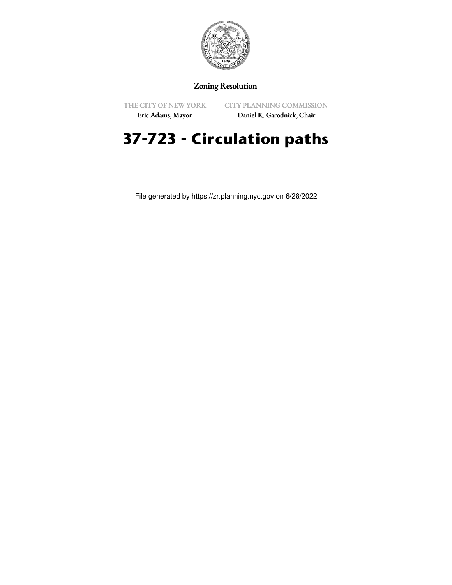

## Zoning Resolution

THE CITY OF NEW YORK

CITY PLANNING COMMISSION

Eric Adams, Mayor

Daniel R. Garodnick, Chair

## **37-723 - Circulation paths**

File generated by https://zr.planning.nyc.gov on 6/28/2022